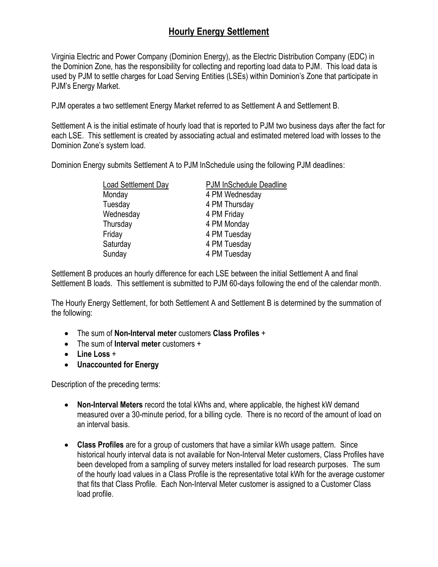used by PJM to settle charges for Load Serving Entities (LSEs) within Dominion's Zone that participate in PJM's Energy Market. Virginia Electric and Power Company (Dominion Energy), as the Electric Distribution Company (EDC) in the Dominion Zone, has the responsibility for collecting and reporting load data to PJM. This load data is

PJM operates a two settlement Energy Market referred to as Settlement A and Settlement B.

 Dominion Zone's system load. Settlement A is the initial estimate of hourly load that is reported to PJM two business days after the fact for each LSE. This settlement is created by associating actual and estimated metered load with losses to the

Dominion Energy submits Settlement A to PJM InSchedule using the following PJM deadlines:

| Load Settlement Day | PJM InSchedule Deadline |
|---------------------|-------------------------|
| Monday              | 4 PM Wednesday          |
| Tuesday             | 4 PM Thursday           |
| Wednesday           | 4 PM Friday             |
| Thursday            | 4 PM Monday             |
| Friday              | 4 PM Tuesday            |
| Saturday            | 4 PM Tuesday            |
| Sunday              | 4 PM Tuesday            |

Settlement B produces an hourly difference for each LSE between the initial Settlement A and final Settlement B loads. This settlement is submitted to PJM 60-days following the end of the calendar month.

The Hourly Energy Settlement, for both Settlement A and Settlement B is determined by the summation of the following:

- The sum of **Non-Interval meter** customers **Class Profiles** +
- The sum of **Interval meter** customers +
- **Line Loss** +
- **Unaccounted for Energy**

Description of the preceding terms:

- **Non-Interval Meters** record the total kWhs and, where applicable, the highest kW demand measured over a 30-minute period, for a billing cycle. There is no record of the amount of load on an interval basis.
- **Class Profiles** are for a group of customers that have a similar kWh usage pattern. Since historical hourly interval data is not available for Non-Interval Meter customers, Class Profiles have been developed from a sampling of survey meters installed for load research purposes. The sum of the hourly load values in a Class Profile is the representative total kWh for the average customer that fits that Class Profile. Each Non-Interval Meter customer is assigned to a Customer Class load profile.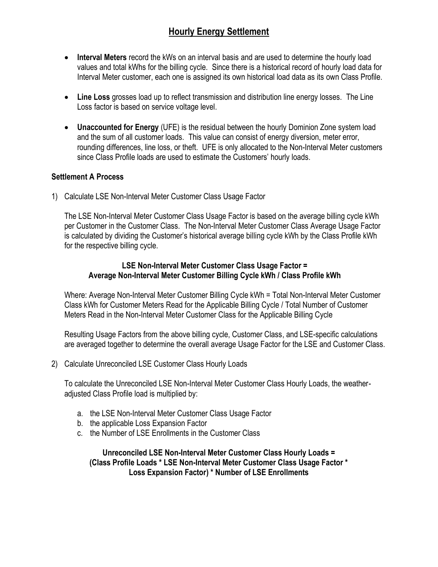- **Interval Meters** record the kWs on an interval basis and are used to determine the hourly load values and total kWhs for the billing cycle. Since there is a historical record of hourly load data for Interval Meter customer, each one is assigned its own historical load data as its own Class Profile.
- **Line Loss** grosses load up to reflect transmission and distribution line energy losses. The Line Loss factor is based on service voltage level.
- since Class Profile loads are used to estimate the Customers' hourly loads. • **Unaccounted for Energy** (UFE) is the residual between the hourly Dominion Zone system load and the sum of all customer loads. This value can consist of energy diversion, meter error, rounding differences, line loss, or theft. UFE is only allocated to the Non-Interval Meter customers

#### **Settlement A Process**

1) Calculate LSE Non-Interval Meter Customer Class Usage Factor

 is calculated by dividing the Customer's historical average billing cycle kWh by the Class Profile kWh The LSE Non-Interval Meter Customer Class Usage Factor is based on the average billing cycle kWh per Customer in the Customer Class. The Non-Interval Meter Customer Class Average Usage Factor for the respective billing cycle.

#### **LSE Non-Interval Meter Customer Class Usage Factor = Average Non-Interval Meter Customer Billing Cycle kWh / Class Profile kWh**

Where: Average Non-Interval Meter Customer Billing Cycle kWh = Total Non-Interval Meter Customer Class kWh for Customer Meters Read for the Applicable Billing Cycle / Total Number of Customer Meters Read in the Non-Interval Meter Customer Class for the Applicable Billing Cycle

Resulting Usage Factors from the above billing cycle, Customer Class, and LSE-specific calculations are averaged together to determine the overall average Usage Factor for the LSE and Customer Class.

2) Calculate Unreconciled LSE Customer Class Hourly Loads

To calculate the Unreconciled LSE Non-Interval Meter Customer Class Hourly Loads, the weatheradjusted Class Profile load is multiplied by:

- a. the LSE Non-Interval Meter Customer Class Usage Factor
- b. the applicable Loss Expansion Factor
- c. the Number of LSE Enrollments in the Customer Class

**Unreconciled LSE Non-Interval Meter Customer Class Hourly Loads = (Class Profile Loads \* LSE Non-Interval Meter Customer Class Usage Factor \* Loss Expansion Factor) \* Number of LSE Enrollments**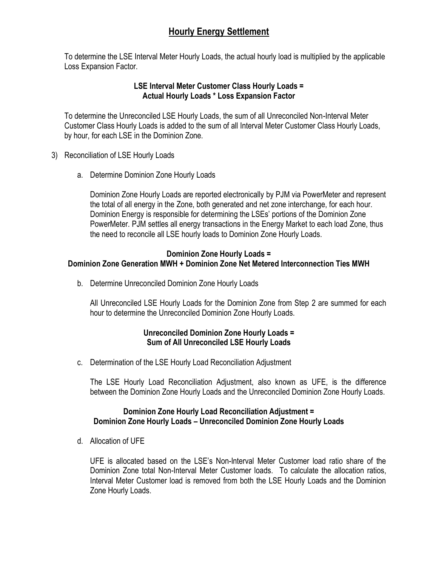To determine the LSE Interval Meter Hourly Loads, the actual hourly load is multiplied by the applicable Loss Expansion Factor.

#### **LSE Interval Meter Customer Class Hourly Loads = Actual Hourly Loads \* Loss Expansion Factor**

To determine the Unreconciled LSE Hourly Loads, the sum of all Unreconciled Non-Interval Meter Customer Class Hourly Loads is added to the sum of all Interval Meter Customer Class Hourly Loads, by hour, for each LSE in the Dominion Zone.

- 3) Reconciliation of LSE Hourly Loads
	- a. Determine Dominion Zone Hourly Loads

 Dominion Energy is responsible for determining the LSEs' portions of the Dominion Zone Dominion Zone Hourly Loads are reported electronically by PJM via PowerMeter and represent the total of all energy in the Zone, both generated and net zone interchange, for each hour. PowerMeter. PJM settles all energy transactions in the Energy Market to each load Zone, thus the need to reconcile all LSE hourly loads to Dominion Zone Hourly Loads.

### **Dominion Zone Hourly Loads =**

### **Dominion Zone Generation MWH + Dominion Zone Net Metered Interconnection Ties MWH**

b. Determine Unreconciled Dominion Zone Hourly Loads

All Unreconciled LSE Hourly Loads for the Dominion Zone from Step 2 are summed for each hour to determine the Unreconciled Dominion Zone Hourly Loads.

### **Unreconciled Dominion Zone Hourly Loads = Sum of All Unreconciled LSE Hourly Loads**

c. Determination of the LSE Hourly Load Reconciliation Adjustment

The LSE Hourly Load Reconciliation Adjustment, also known as UFE, is the difference between the Dominion Zone Hourly Loads and the Unreconciled Dominion Zone Hourly Loads.

### **Dominion Zone Hourly Load Reconciliation Adjustment = Dominion Zone Hourly Loads – Unreconciled Dominion Zone Hourly Loads**

d. Allocation of UFE

 UFE is allocated based on the LSE's Non-Interval Meter Customer load ratio share of the Dominion Zone total Non-Interval Meter Customer loads. To calculate the allocation ratios, Interval Meter Customer load is removed from both the LSE Hourly Loads and the Dominion Zone Hourly Loads.